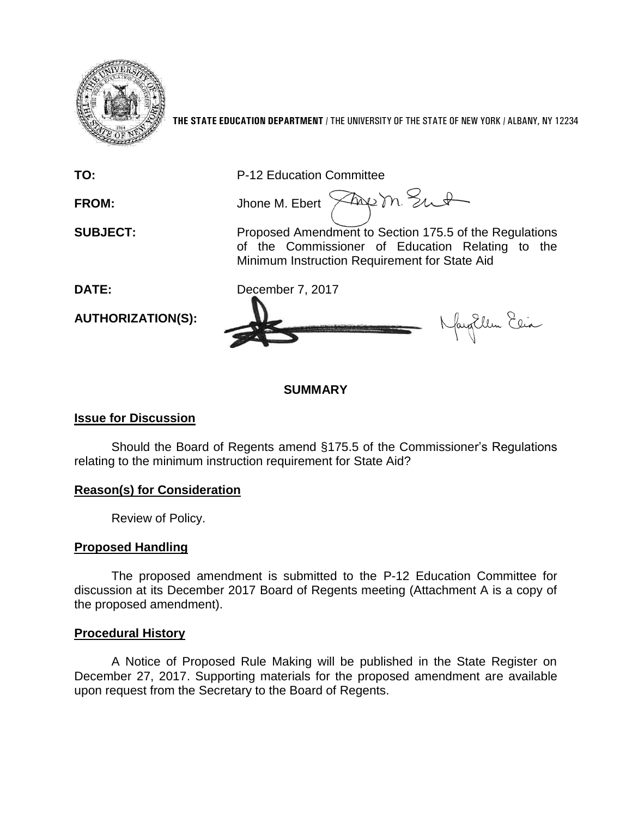

**THE STATE EDUCATION DEPARTMENT** / THE UNIVERSITY OF THE STATE OF NEW YORK / ALBANY, NY 12234

**TO:** P-12 Education Committee

FROM: Jhone M. Ebert  $\widehat{\times}$ Aug m. Sunt

**SUBJECT:** Proposed Amendment to Section 175.5 of the Regulations of the Commissioner of Education Relating to the Minimum Instruction Requirement for State Aid

May Elem Elia

**DATE:** December 7, 2017

**AUTHORIZATION(S):**

# **Issue for Discussion**

Should the Board of Regents amend §175.5 of the Commissioner's Regulations relating to the minimum instruction requirement for State Aid?

**SUMMARY**

# **Reason(s) for Consideration**

Review of Policy.

# **Proposed Handling**

The proposed amendment is submitted to the P-12 Education Committee for discussion at its December 2017 Board of Regents meeting (Attachment A is a copy of the proposed amendment).

# **Procedural History**

A Notice of Proposed Rule Making will be published in the State Register on December 27, 2017. Supporting materials for the proposed amendment are available upon request from the Secretary to the Board of Regents.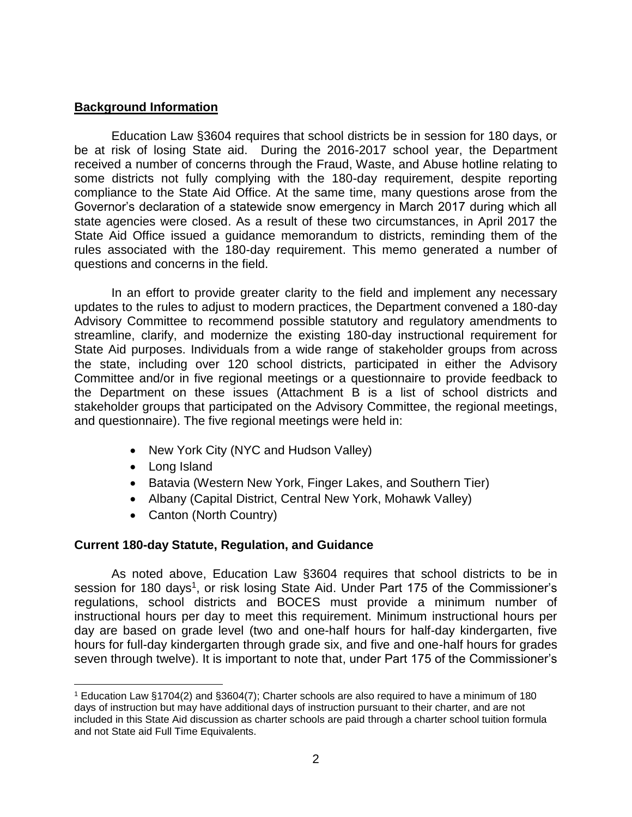# **Background Information**

Education Law §3604 requires that school districts be in session for 180 days, or be at risk of losing State aid. During the 2016-2017 school year, the Department received a number of concerns through the Fraud, Waste, and Abuse hotline relating to some districts not fully complying with the 180-day requirement, despite reporting compliance to the State Aid Office. At the same time, many questions arose from the Governor's declaration of a statewide snow emergency in March 2017 during which all state agencies were closed. As a result of these two circumstances, in April 2017 the State Aid Office issued a guidance memorandum to districts, reminding them of the rules associated with the 180-day requirement. This memo generated a number of questions and concerns in the field.

In an effort to provide greater clarity to the field and implement any necessary updates to the rules to adjust to modern practices, the Department convened a 180-day Advisory Committee to recommend possible statutory and regulatory amendments to streamline, clarify, and modernize the existing 180-day instructional requirement for State Aid purposes. Individuals from a wide range of stakeholder groups from across the state, including over 120 school districts, participated in either the Advisory Committee and/or in five regional meetings or a questionnaire to provide feedback to the Department on these issues (Attachment B is a list of school districts and stakeholder groups that participated on the Advisory Committee, the regional meetings, and questionnaire). The five regional meetings were held in:

- New York City (NYC and Hudson Valley)
- Long Island

 $\overline{a}$ 

- Batavia (Western New York, Finger Lakes, and Southern Tier)
- Albany (Capital District, Central New York, Mohawk Valley)
- Canton (North Country)

# **Current 180-day Statute, Regulation, and Guidance**

As noted above, Education Law §3604 requires that school districts to be in session for 180 days<sup>1</sup>, or risk losing State Aid. Under Part 175 of the Commissioner's regulations, school districts and BOCES must provide a minimum number of instructional hours per day to meet this requirement. Minimum instructional hours per day are based on grade level (two and one-half hours for half-day kindergarten, five hours for full-day kindergarten through grade six, and five and one-half hours for grades seven through twelve). It is important to note that, under Part 175 of the Commissioner's

<sup>1</sup> Education Law §1704(2) and §3604(7); Charter schools are also required to have a minimum of 180 days of instruction but may have additional days of instruction pursuant to their charter, and are not included in this State Aid discussion as charter schools are paid through a charter school tuition formula and not State aid Full Time Equivalents.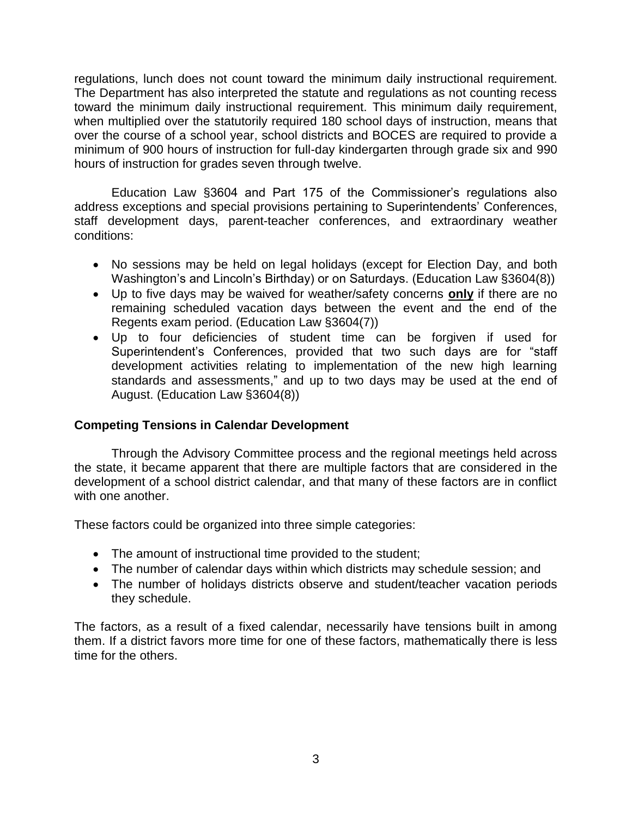regulations, lunch does not count toward the minimum daily instructional requirement. The Department has also interpreted the statute and regulations as not counting recess toward the minimum daily instructional requirement. This minimum daily requirement, when multiplied over the statutorily required 180 school days of instruction, means that over the course of a school year, school districts and BOCES are required to provide a minimum of 900 hours of instruction for full-day kindergarten through grade six and 990 hours of instruction for grades seven through twelve.

Education Law §3604 and Part 175 of the Commissioner's regulations also address exceptions and special provisions pertaining to Superintendents' Conferences, staff development days, parent-teacher conferences, and extraordinary weather conditions:

- No sessions may be held on legal holidays (except for Election Day, and both Washington's and Lincoln's Birthday) or on Saturdays. (Education Law §3604(8))
- Up to five days may be waived for weather/safety concerns **only** if there are no remaining scheduled vacation days between the event and the end of the Regents exam period. (Education Law §3604(7))
- Up to four deficiencies of student time can be forgiven if used for Superintendent's Conferences, provided that two such days are for "staff development activities relating to implementation of the new high learning standards and assessments," and up to two days may be used at the end of August. (Education Law §3604(8))

# **Competing Tensions in Calendar Development**

Through the Advisory Committee process and the regional meetings held across the state, it became apparent that there are multiple factors that are considered in the development of a school district calendar, and that many of these factors are in conflict with one another

These factors could be organized into three simple categories:

- The amount of instructional time provided to the student;
- The number of calendar days within which districts may schedule session; and
- The number of holidays districts observe and student/teacher vacation periods they schedule.

The factors, as a result of a fixed calendar, necessarily have tensions built in among them. If a district favors more time for one of these factors, mathematically there is less time for the others.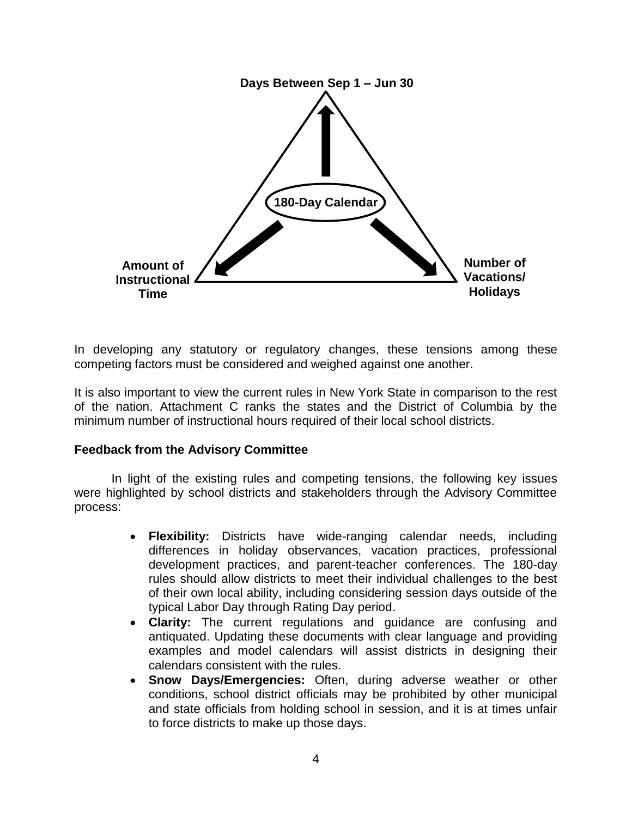

In developing any statutory or regulatory changes, these tensions among these competing factors must be considered and weighed against one another.

It is also important to view the current rules in New York State in comparison to the rest of the nation. Attachment C ranks the states and the District of Columbia by the minimum number of instructional hours required of their local school districts.

#### **Feedback from the Advisory Committee**

In light of the existing rules and competing tensions, the following key issues were highlighted by school districts and stakeholders through the Advisory Committee process:

- **Flexibility:** Districts have wide-ranging calendar needs, including differences in holiday observances, vacation practices, professional development practices, and parent-teacher conferences. The 180-day rules should allow districts to meet their individual challenges to the best of their own local ability, including considering session days outside of the typical Labor Day through Rating Day period.
- **Clarity:** The current regulations and guidance are confusing and antiquated. Updating these documents with clear language and providing examples and model calendars will assist districts in designing their calendars consistent with the rules.
- **Snow Days/Emergencies:** Often, during adverse weather or other conditions, school district officials may be prohibited by other municipal and state officials from holding school in session, and it is at times unfair to force districts to make up those days.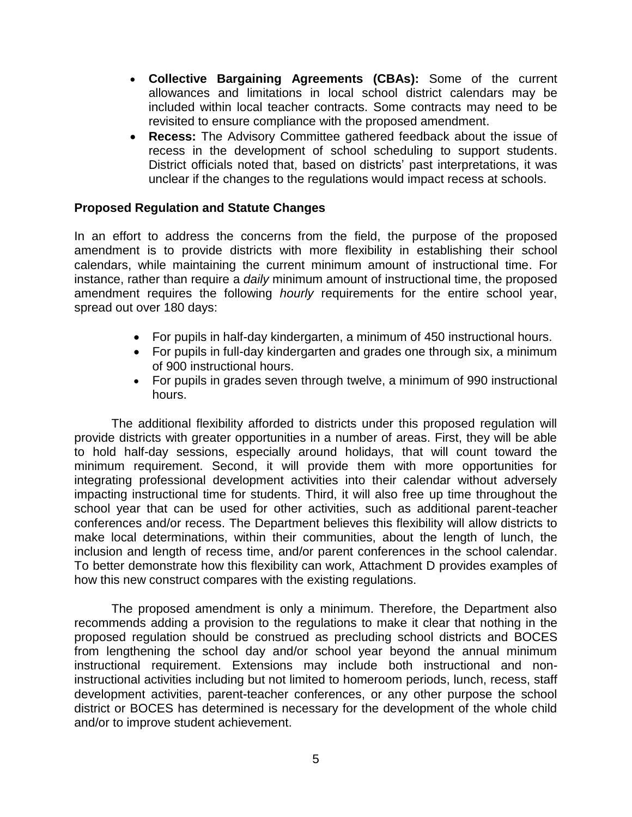- **Collective Bargaining Agreements (CBAs):** Some of the current allowances and limitations in local school district calendars may be included within local teacher contracts. Some contracts may need to be revisited to ensure compliance with the proposed amendment.
- **Recess:** The Advisory Committee gathered feedback about the issue of recess in the development of school scheduling to support students. District officials noted that, based on districts' past interpretations, it was unclear if the changes to the regulations would impact recess at schools.

## **Proposed Regulation and Statute Changes**

In an effort to address the concerns from the field, the purpose of the proposed amendment is to provide districts with more flexibility in establishing their school calendars, while maintaining the current minimum amount of instructional time. For instance, rather than require a *daily* minimum amount of instructional time, the proposed amendment requires the following *hourly* requirements for the entire school year, spread out over 180 days:

- For pupils in half-day kindergarten, a minimum of 450 instructional hours.
- For pupils in full-day kindergarten and grades one through six, a minimum of 900 instructional hours.
- For pupils in grades seven through twelve, a minimum of 990 instructional hours.

The additional flexibility afforded to districts under this proposed regulation will provide districts with greater opportunities in a number of areas. First, they will be able to hold half-day sessions, especially around holidays, that will count toward the minimum requirement. Second, it will provide them with more opportunities for integrating professional development activities into their calendar without adversely impacting instructional time for students. Third, it will also free up time throughout the school year that can be used for other activities, such as additional parent-teacher conferences and/or recess. The Department believes this flexibility will allow districts to make local determinations, within their communities, about the length of lunch, the inclusion and length of recess time, and/or parent conferences in the school calendar. To better demonstrate how this flexibility can work, Attachment D provides examples of how this new construct compares with the existing regulations.

The proposed amendment is only a minimum. Therefore, the Department also recommends adding a provision to the regulations to make it clear that nothing in the proposed regulation should be construed as precluding school districts and BOCES from lengthening the school day and/or school year beyond the annual minimum instructional requirement. Extensions may include both instructional and noninstructional activities including but not limited to homeroom periods, lunch, recess, staff development activities, parent-teacher conferences, or any other purpose the school district or BOCES has determined is necessary for the development of the whole child and/or to improve student achievement.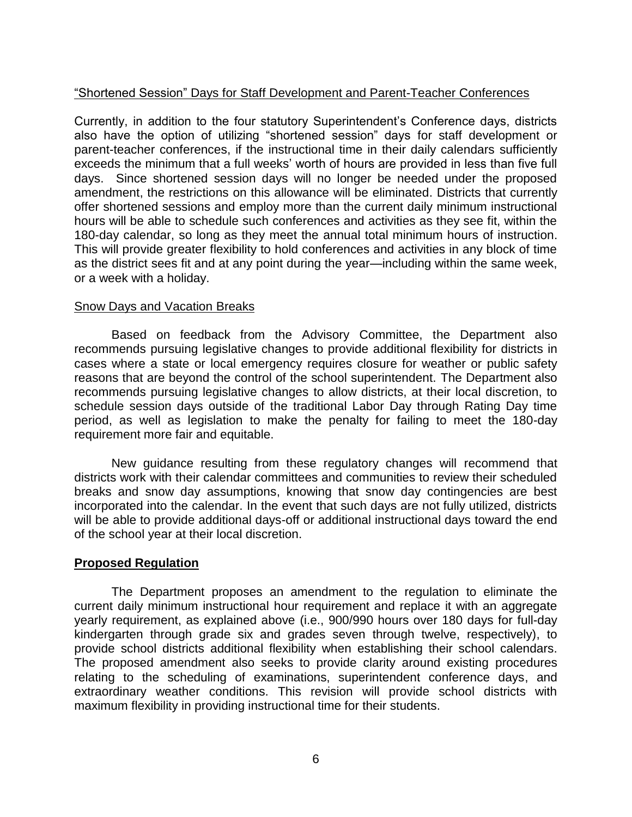# "Shortened Session" Days for Staff Development and Parent-Teacher Conferences

Currently, in addition to the four statutory Superintendent's Conference days, districts also have the option of utilizing "shortened session" days for staff development or parent-teacher conferences, if the instructional time in their daily calendars sufficiently exceeds the minimum that a full weeks' worth of hours are provided in less than five full days. Since shortened session days will no longer be needed under the proposed amendment, the restrictions on this allowance will be eliminated. Districts that currently offer shortened sessions and employ more than the current daily minimum instructional hours will be able to schedule such conferences and activities as they see fit, within the 180-day calendar, so long as they meet the annual total minimum hours of instruction. This will provide greater flexibility to hold conferences and activities in any block of time as the district sees fit and at any point during the year—including within the same week, or a week with a holiday.

## Snow Days and Vacation Breaks

Based on feedback from the Advisory Committee, the Department also recommends pursuing legislative changes to provide additional flexibility for districts in cases where a state or local emergency requires closure for weather or public safety reasons that are beyond the control of the school superintendent. The Department also recommends pursuing legislative changes to allow districts, at their local discretion, to schedule session days outside of the traditional Labor Day through Rating Day time period, as well as legislation to make the penalty for failing to meet the 180-day requirement more fair and equitable.

New guidance resulting from these regulatory changes will recommend that districts work with their calendar committees and communities to review their scheduled breaks and snow day assumptions, knowing that snow day contingencies are best incorporated into the calendar. In the event that such days are not fully utilized, districts will be able to provide additional days-off or additional instructional days toward the end of the school year at their local discretion.

# **Proposed Regulation**

The Department proposes an amendment to the regulation to eliminate the current daily minimum instructional hour requirement and replace it with an aggregate yearly requirement, as explained above (i.e., 900/990 hours over 180 days for full-day kindergarten through grade six and grades seven through twelve, respectively), to provide school districts additional flexibility when establishing their school calendars. The proposed amendment also seeks to provide clarity around existing procedures relating to the scheduling of examinations, superintendent conference days, and extraordinary weather conditions. This revision will provide school districts with maximum flexibility in providing instructional time for their students.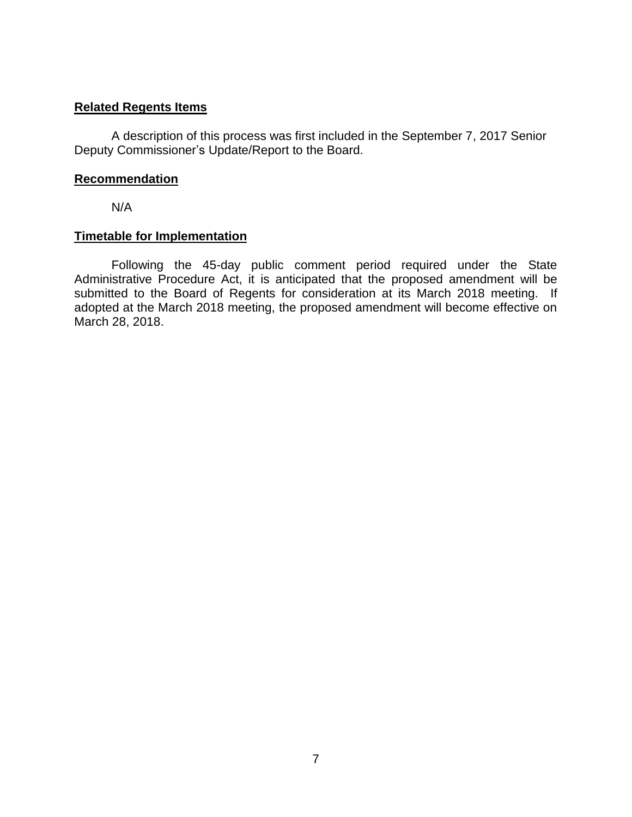## **Related Regents Items**

A description of this process was first included in the September 7, 2017 Senior Deputy Commissioner's Update/Report to the Board.

## **Recommendation**

N/A

## **Timetable for Implementation**

Following the 45-day public comment period required under the State Administrative Procedure Act, it is anticipated that the proposed amendment will be submitted to the Board of Regents for consideration at its March 2018 meeting. If adopted at the March 2018 meeting, the proposed amendment will become effective on March 28, 2018.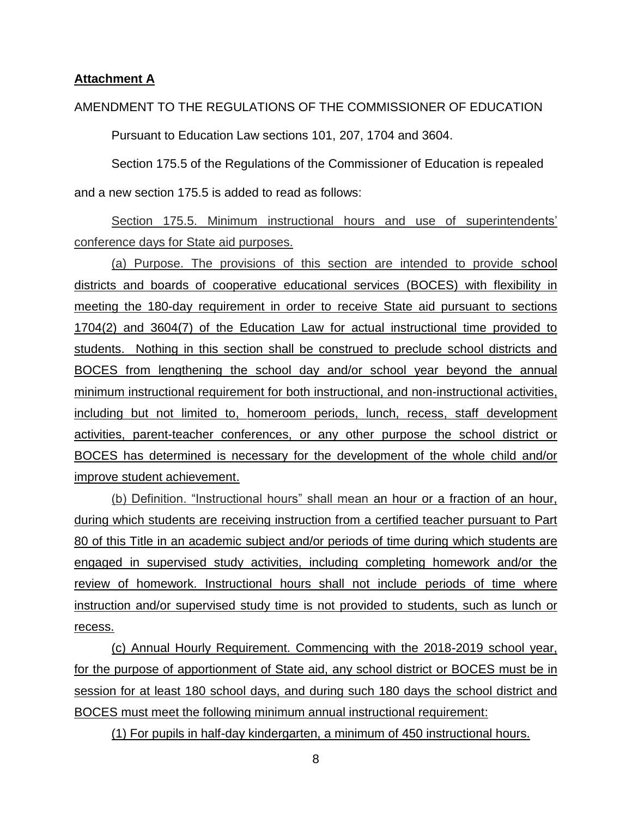## **Attachment A**

#### AMENDMENT TO THE REGULATIONS OF THE COMMISSIONER OF EDUCATION

Pursuant to Education Law sections 101, 207, 1704 and 3604.

Section 175.5 of the Regulations of the Commissioner of Education is repealed and a new section 175.5 is added to read as follows:

Section 175.5. Minimum instructional hours and use of superintendents' conference days for State aid purposes.

(a) Purpose. The provisions of this section are intended to provide school districts and boards of cooperative educational services (BOCES) with flexibility in meeting the 180-day requirement in order to receive State aid pursuant to sections 1704(2) and 3604(7) of the Education Law for actual instructional time provided to students. Nothing in this section shall be construed to preclude school districts and BOCES from lengthening the school day and/or school year beyond the annual minimum instructional requirement for both instructional, and non-instructional activities, including but not limited to, homeroom periods, lunch, recess, staff development activities, parent-teacher conferences, or any other purpose the school district or BOCES has determined is necessary for the development of the whole child and/or improve student achievement.

(b) Definition. "Instructional hours" shall mean an hour or a fraction of an hour, during which students are receiving instruction from a certified teacher pursuant to Part 80 of this Title in an academic subject and/or periods of time during which students are engaged in supervised study activities, including completing homework and/or the review of homework. Instructional hours shall not include periods of time where instruction and/or supervised study time is not provided to students, such as lunch or recess.

(c) Annual Hourly Requirement. Commencing with the 2018-2019 school year, for the purpose of apportionment of State aid, any school district or BOCES must be in session for at least 180 school days, and during such 180 days the school district and BOCES must meet the following minimum annual instructional requirement:

(1) For pupils in half-day kindergarten, a minimum of 450 instructional hours.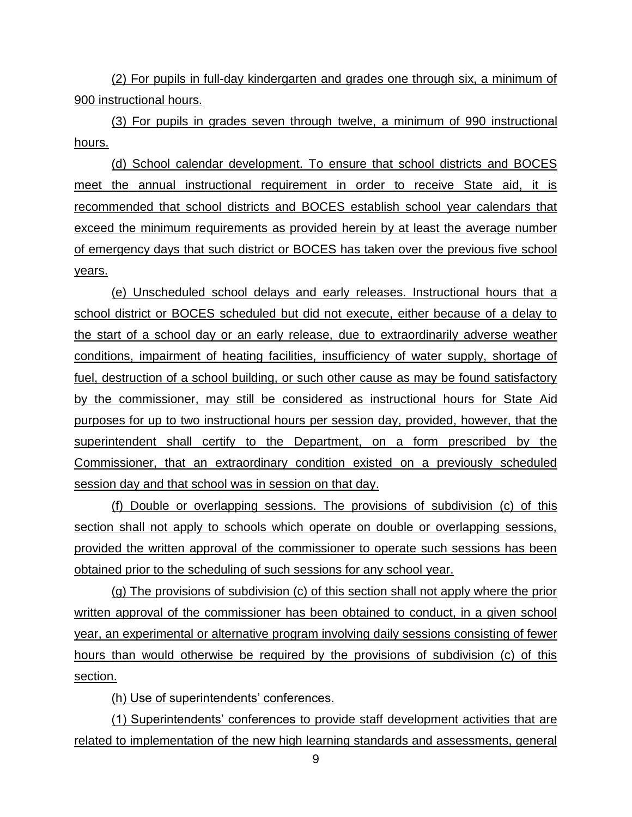(2) For pupils in full-day kindergarten and grades one through six, a minimum of 900 instructional hours.

(3) For pupils in grades seven through twelve, a minimum of 990 instructional hours.

(d) School calendar development. To ensure that school districts and BOCES meet the annual instructional requirement in order to receive State aid, it is recommended that school districts and BOCES establish school year calendars that exceed the minimum requirements as provided herein by at least the average number of emergency days that such district or BOCES has taken over the previous five school years.

(e) Unscheduled school delays and early releases. Instructional hours that a school district or BOCES scheduled but did not execute, either because of a delay to the start of a school day or an early release, due to extraordinarily adverse weather conditions, impairment of heating facilities, insufficiency of water supply, shortage of fuel, destruction of a school building, or such other cause as may be found satisfactory by the commissioner, may still be considered as instructional hours for State Aid purposes for up to two instructional hours per session day, provided, however, that the superintendent shall certify to the Department, on a form prescribed by the Commissioner, that an extraordinary condition existed on a previously scheduled session day and that school was in session on that day.

(f) Double or overlapping sessions. The provisions of subdivision (c) of this section shall not apply to schools which operate on double or overlapping sessions, provided the written approval of the commissioner to operate such sessions has been obtained prior to the scheduling of such sessions for any school year.

(g) The provisions of subdivision (c) of this section shall not apply where the prior written approval of the commissioner has been obtained to conduct, in a given school year, an experimental or alternative program involving daily sessions consisting of fewer hours than would otherwise be required by the provisions of subdivision (c) of this section.

(h) Use of superintendents' conferences.

(1) Superintendents' conferences to provide staff development activities that are related to implementation of the new high learning standards and assessments, general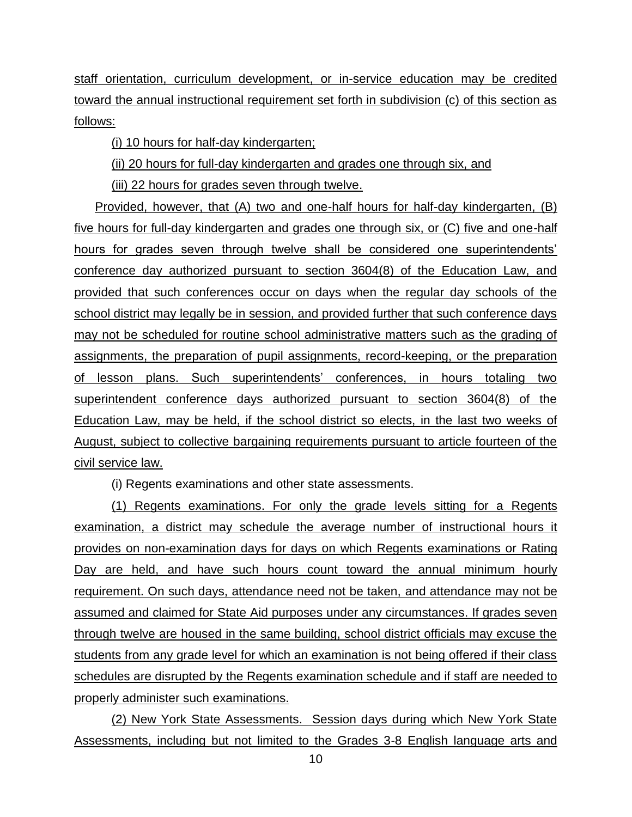staff orientation, curriculum development, or in-service education may be credited toward the annual instructional requirement set forth in subdivision (c) of this section as follows:

(i) 10 hours for half-day kindergarten;

(ii) 20 hours for full-day kindergarten and grades one through six, and

(iii) 22 hours for grades seven through twelve.

Provided, however, that (A) two and one-half hours for half-day kindergarten, (B) five hours for full-day kindergarten and grades one through six, or (C) five and one-half hours for grades seven through twelve shall be considered one superintendents' conference day authorized pursuant to section 3604(8) of the Education Law, and provided that such conferences occur on days when the regular day schools of the school district may legally be in session, and provided further that such conference days may not be scheduled for routine school administrative matters such as the grading of assignments, the preparation of pupil assignments, record-keeping, or the preparation of lesson plans. Such superintendents' conferences, in hours totaling two superintendent conference days authorized pursuant to section 3604(8) of the Education Law, may be held, if the school district so elects, in the last two weeks of August, subject to collective bargaining requirements pursuant to article fourteen of the civil service law.

(i) Regents examinations and other state assessments.

(1) Regents examinations. For only the grade levels sitting for a Regents examination, a district may schedule the average number of instructional hours it provides on non-examination days for days on which Regents examinations or Rating Day are held, and have such hours count toward the annual minimum hourly requirement. On such days, attendance need not be taken, and attendance may not be assumed and claimed for State Aid purposes under any circumstances. If grades seven through twelve are housed in the same building, school district officials may excuse the students from any grade level for which an examination is not being offered if their class schedules are disrupted by the Regents examination schedule and if staff are needed to properly administer such examinations.

(2) New York State Assessments. Session days during which New York State Assessments, including but not limited to the Grades 3-8 English language arts and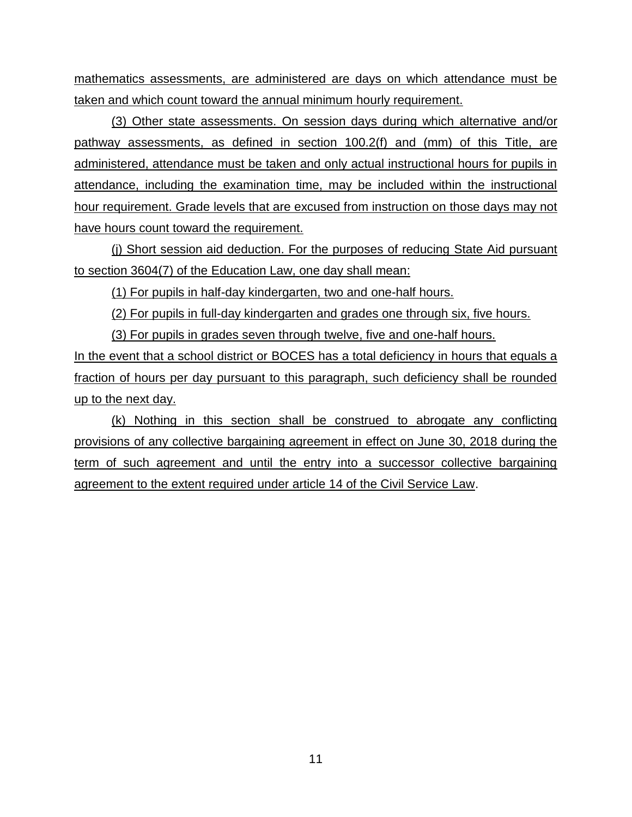mathematics assessments, are administered are days on which attendance must be taken and which count toward the annual minimum hourly requirement.

(3) Other state assessments. On session days during which alternative and/or pathway assessments, as defined in section 100.2(f) and (mm) of this Title, are administered, attendance must be taken and only actual instructional hours for pupils in attendance, including the examination time, may be included within the instructional hour requirement. Grade levels that are excused from instruction on those days may not have hours count toward the requirement.

(j) Short session aid deduction. For the purposes of reducing State Aid pursuant to section 3604(7) of the Education Law, one day shall mean:

(1) For pupils in half-day kindergarten, two and one-half hours.

(2) For pupils in full-day kindergarten and grades one through six, five hours.

(3) For pupils in grades seven through twelve, five and one-half hours.

In the event that a school district or BOCES has a total deficiency in hours that equals a fraction of hours per day pursuant to this paragraph, such deficiency shall be rounded up to the next day.

(k) Nothing in this section shall be construed to abrogate any conflicting provisions of any collective bargaining agreement in effect on June 30, 2018 during the term of such agreement and until the entry into a successor collective bargaining agreement to the extent required under article 14 of the Civil Service Law.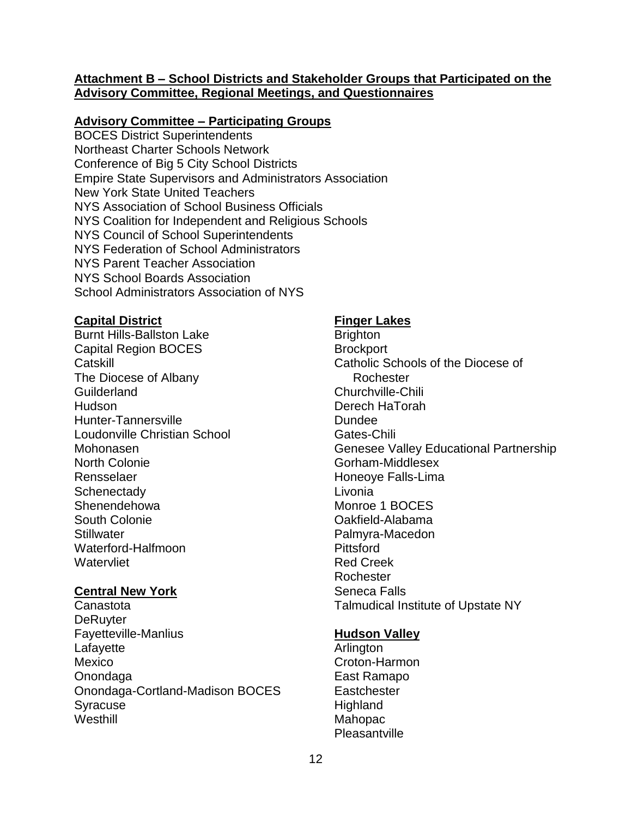## **Attachment B – School Districts and Stakeholder Groups that Participated on the Advisory Committee, Regional Meetings, and Questionnaires**

#### **Advisory Committee – Participating Groups**

BOCES District Superintendents Northeast Charter Schools Network Conference of Big 5 City School Districts Empire State Supervisors and Administrators Association New York State United Teachers NYS Association of School Business Officials NYS Coalition for Independent and Religious Schools NYS Council of School Superintendents NYS Federation of School Administrators NYS Parent Teacher Association NYS School Boards Association School Administrators Association of NYS

#### **Capital District**

Burnt Hills-Ballston Lake Capital Region BOCES **Catskill** The Diocese of Albany **Guilderland** Hudson Hunter-Tannersville Loudonville Christian School Mohonasen North Colonie Rensselaer **Schenectady** Shenendehowa South Colonie **Stillwater** Waterford-Halfmoon **Watervliet** 

#### **Central New York**

Canastota **DeRuvter** Fayetteville-Manlius **Lafavette** Mexico **Onondaga** Onondaga-Cortland-Madison BOCES Syracuse **Westhill** 

#### **Finger Lakes**

**Brighton Brockport** Catholic Schools of the Diocese of Rochester Churchville-Chili Derech HaTorah Dundee Gates-Chili Genesee Valley Educational Partnership Gorham-Middlesex Honeoye Falls-Lima Livonia Monroe 1 BOCES Oakfield-Alabama Palmyra-Macedon **Pittsford** Red Creek Rochester Seneca Falls Talmudical Institute of Upstate NY

#### **Hudson Valley**

Arlington Croton-Harmon East Ramapo **Eastchester Highland** Mahopac **Pleasantville**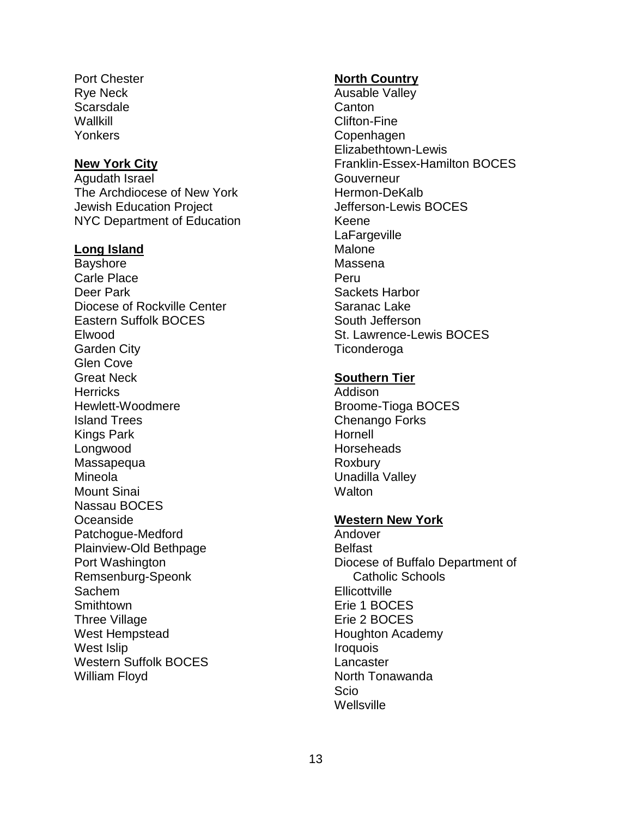Port Chester Rye Neck **Scarsdale Wallkill** Yonkers

#### **New York City**

Agudath Israel The Archdiocese of New York Jewish Education Project NYC Department of Education

#### **Long Island**

Bayshore Carle Place Deer Park Diocese of Rockville Center Eastern Suffolk BOCES Elwood Garden City Glen Cove Great Neck **Herricks** Hewlett-Woodmere Island Trees Kings Park Longwood Massapequa Mineola Mount Sinai Nassau BOCES Oceanside Patchogue-Medford Plainview-Old Bethpage Port Washington Remsenburg-Speonk Sachem **Smithtown** Three Village West Hempstead West Islip Western Suffolk BOCES William Floyd

## **North Country**

Ausable Valley **Canton** Clifton-Fine Copenhagen Elizabethtown-Lewis Franklin-Essex-Hamilton BOCES **Gouverneur** Hermon-DeKalb Jefferson-Lewis BOCES Keene **LaFargeville Malone** Massena Peru Sackets Harbor Saranac Lake South Jefferson St. Lawrence-Lewis BOCES **Ticonderoga** 

## **Southern Tier**

Addison Broome-Tioga BOCES Chenango Forks Hornell **Horseheads** Roxbury Unadilla Valley **Walton** 

#### **Western New York**

Andover Belfast Diocese of Buffalo Department of Catholic Schools **Ellicottville** Erie 1 BOCES Erie 2 BOCES Houghton Academy **Iroquois Lancaster** North Tonawanda Scio **Wellsville**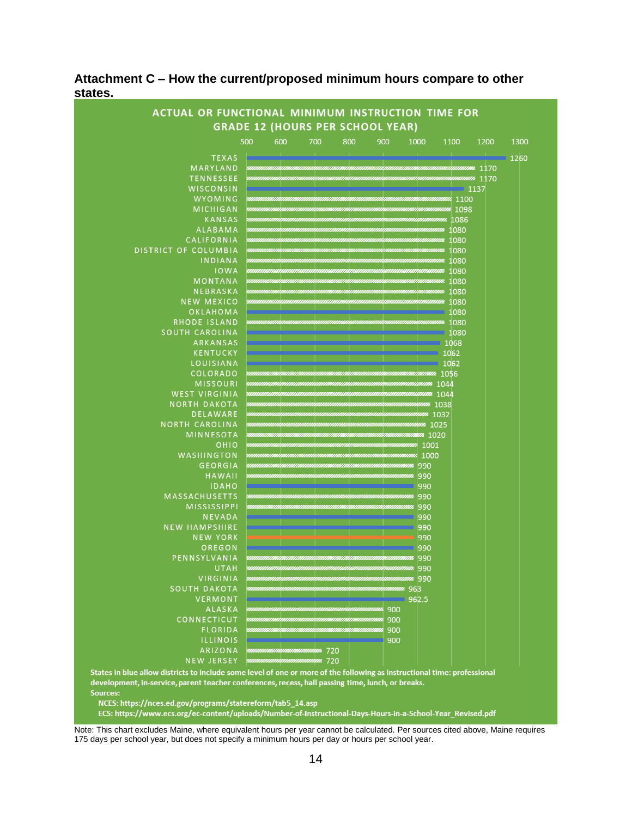

## **Attachment C – How the current/proposed minimum hours compare to other states.**

States in blue allow districts to include some level of one or more of the following as instructional time: professional development, in-service, parent teacher conferences, recess, hall passing time, lunch, or breaks. Sources:

NCES: https://nces.ed.gov/programs/statereform/tab5\_14.asp

ECS: https://www.ecs.org/ec-content/uploads/Number-of-Instructional-Days-Hours-in-a-School-Year\_Revised.pdf

Note: This chart excludes Maine, where equivalent hours per year cannot be calculated. Per sources cited above, Maine requires 175 days per school year, but does not specify a minimum hours per day or hours per school year.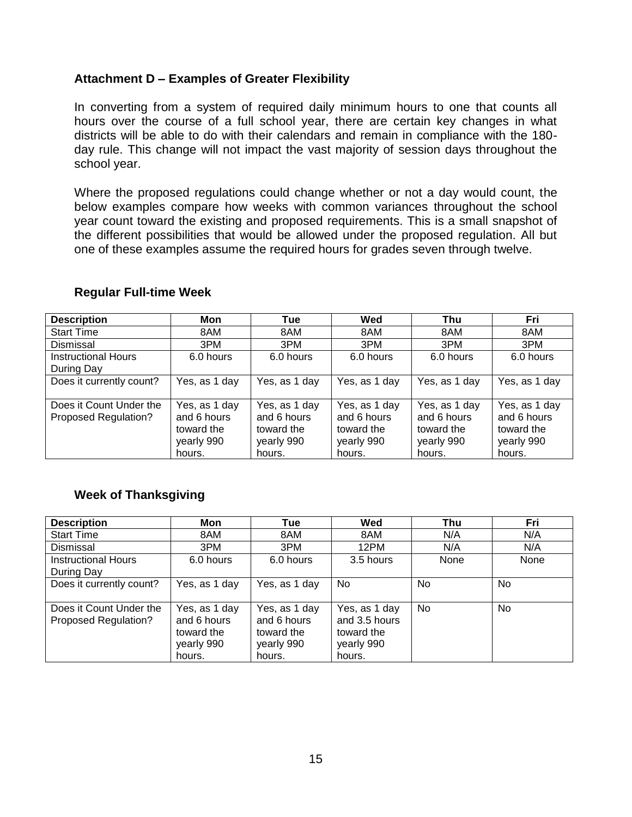# **Attachment D – Examples of Greater Flexibility**

In converting from a system of required daily minimum hours to one that counts all hours over the course of a full school year, there are certain key changes in what districts will be able to do with their calendars and remain in compliance with the 180 day rule. This change will not impact the vast majority of session days throughout the school year.

Where the proposed regulations could change whether or not a day would count, the below examples compare how weeks with common variances throughout the school year count toward the existing and proposed requirements. This is a small snapshot of the different possibilities that would be allowed under the proposed regulation. All but one of these examples assume the required hours for grades seven through twelve.

| <b>Description</b>                              | Mon                                                                | <b>Tue</b>                                                         | Wed                                                                | Thu                                                                | Fri                                                                |
|-------------------------------------------------|--------------------------------------------------------------------|--------------------------------------------------------------------|--------------------------------------------------------------------|--------------------------------------------------------------------|--------------------------------------------------------------------|
| <b>Start Time</b>                               | 8AM                                                                | 8AM                                                                | 8AM                                                                | 8AM                                                                | 8AM                                                                |
| Dismissal                                       | 3PM                                                                | 3PM                                                                | 3PM                                                                | 3PM                                                                | 3PM                                                                |
| <b>Instructional Hours</b><br>During Day        | 6.0 hours                                                          | 6.0 hours                                                          | 6.0 hours                                                          | 6.0 hours                                                          | 6.0 hours                                                          |
| Does it currently count?                        | Yes, as 1 day                                                      | Yes, as 1 day                                                      | Yes, as 1 day                                                      | Yes, as 1 day                                                      | Yes, as 1 day                                                      |
| Does it Count Under the<br>Proposed Regulation? | Yes, as 1 day<br>and 6 hours<br>toward the<br>yearly 990<br>hours. | Yes, as 1 day<br>and 6 hours<br>toward the<br>yearly 990<br>hours. | Yes, as 1 day<br>and 6 hours<br>toward the<br>yearly 990<br>hours. | Yes, as 1 day<br>and 6 hours<br>toward the<br>yearly 990<br>hours. | Yes, as 1 day<br>and 6 hours<br>toward the<br>yearly 990<br>hours. |

## **Regular Full-time Week**

# **Week of Thanksgiving**

| <b>Description</b>                              | Mon                                                                | <b>Tue</b>                                                         | Wed                                                                  | Thu  | Fri       |
|-------------------------------------------------|--------------------------------------------------------------------|--------------------------------------------------------------------|----------------------------------------------------------------------|------|-----------|
| <b>Start Time</b>                               | 8AM                                                                | 8AM                                                                | 8AM                                                                  | N/A  | N/A       |
| Dismissal                                       | 3PM                                                                | 3PM                                                                | 12PM                                                                 | N/A  | N/A       |
| <b>Instructional Hours</b><br>During Day        | 6.0 hours                                                          | 6.0 hours                                                          | 3.5 hours                                                            | None | None      |
| Does it currently count?                        | Yes, as 1 day                                                      | Yes, as 1 day                                                      | No.                                                                  | No.  | <b>No</b> |
| Does it Count Under the<br>Proposed Regulation? | Yes, as 1 day<br>and 6 hours<br>toward the<br>yearly 990<br>hours. | Yes, as 1 day<br>and 6 hours<br>toward the<br>yearly 990<br>hours. | Yes, as 1 day<br>and 3.5 hours<br>toward the<br>yearly 990<br>hours. | No.  | No        |